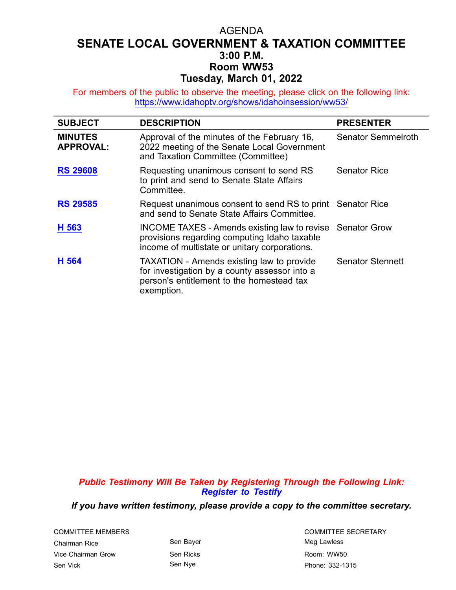## AGENDA **SENATE LOCAL GOVERNMENT & TAXATION COMMITTEE 3:00 P.M. Room WW53 Tuesday, March 01, 2022**

For members of the public to observe the meeting, please click on the following link: <https://www.idahoptv.org/shows/idahoinsession/ww53/>

| <b>SUBJECT</b>                     | <b>DESCRIPTION</b>                                                                                                                                           | <b>PRESENTER</b>          |
|------------------------------------|--------------------------------------------------------------------------------------------------------------------------------------------------------------|---------------------------|
| <b>MINUTES</b><br><b>APPROVAL:</b> | Approval of the minutes of the February 16,<br>2022 meeting of the Senate Local Government<br>and Taxation Committee (Committee)                             | <b>Senator Semmelroth</b> |
| <b>RS 29608</b>                    | Requesting unanimous consent to send RS<br>to print and send to Senate State Affairs<br>Committee.                                                           | <b>Senator Rice</b>       |
| <b>RS 29585</b>                    | Request unanimous consent to send RS to print Senator Rice<br>and send to Senate State Affairs Committee.                                                    |                           |
| H 563                              | <b>INCOME TAXES - Amends existing law to revise</b><br>provisions regarding computing Idaho taxable<br>income of multistate or unitary corporations.         | <b>Senator Grow</b>       |
| H 564                              | <b>TAXATION</b> - Amends existing law to provide<br>for investigation by a county assessor into a<br>person's entitlement to the homestead tax<br>exemption. | <b>Senator Stennett</b>   |

*Public Testimony Will Be Taken by Registering Through the Following Link: [Register](https://legislature.idaho.gov/sessioninfo/2022/standingcommittees/slgt/#hcode-tab-style2testimony-registration-remote-in-person) to Testify*

*If you have written testimony, please provide <sup>a</sup> copy to the committee secretary.*

Chairman Rice **Sen Bayer** Sen Bayer **Sen Bayer** Meg Lawless Vice Chairman Grow Sen Ricks **Sen Ricks Room: WW50** Sen Vick Sen Nye Phone: 332-1315

COMMITTEE MEMBERS COMMITTEE SECRETARY